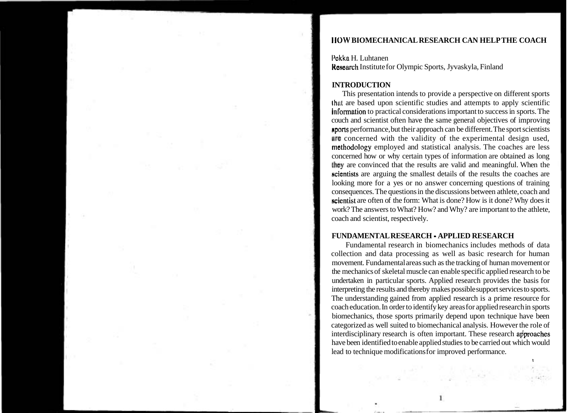## **llOW BIOMECHANICAL RESEARCH CAN HELP THE COACH**

**I'akka** H. Luhtanen **Research Institute for Olympic Sports, Jyvaskyla, Finland** 

## **INTRODUCTION**

This presentation intends to provide a perspective on different sports **lhul** are based upon scientific studies and attempts to apply scientific Information to practical considerations important to success in sports. The couch and scientist often have the same general objectives of improving nports performance, but their approach can be different. The sport scientists **lire** concerned with the validity of the experimental design used, methodology employed and statistical analysis. The coaches are less concerned how or why certain types of information are obtained as long they are convinced that the results are valid and meaningful. When the ~cientists are arguing the smallest details of the results the coaches are looking more for a yes or no answer concerning questions of training consequences. The questions in the discussions between athlete, coach and scientist are often of the form: What is done? How is it done? Why does it work? The answers to What? How? and Why? are important to the athlete, coach and scientist, respectively.

## **FUNDAMENTAL RESEARCH** - **APPLIED RESEARCH**

Fundamental research in biomechanics includes methods of data collection and data processing as well as basic research for human movement. Fundamental areas such as the tracking of human movement or the mechanics of skeletal muscle can enable specific applied research to be undertaken in particular sports. Applied research provides the basis for interpreting the results and thereby makes possible support services to sports. The understanding gained from applied research is a prime resource for coach education. In order to identify key areas for applied research in sports biomechanics, those sports primarily depend upon technique have been categorized as well suited to biomechanical analysis. However the role of interdisciplinary research is often important. These research approaches have been identified to enable applied studies to be carried out which would lead to technique modifications for improved performance.  $\mathbf{I}$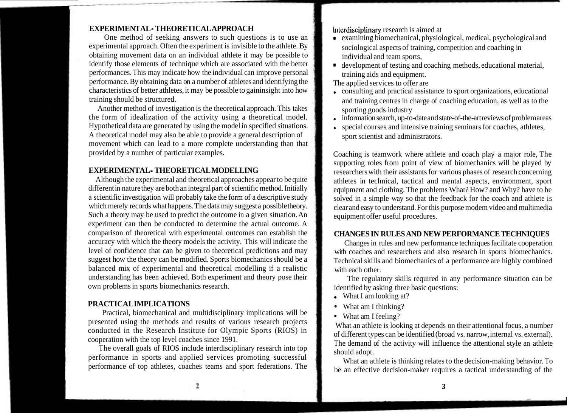## **EXPERIMENTAL** - **THEORETICAL APPROACH**

One method of seeking answers to such questions is to use an experimental approach. Often the experiment is invisible to the athlete. By obtaining movement data on an individual athlete it may be possible to identify those elements of technique which are associated with the better performances. This may indicate how the individual can improve personal performance. By obtaining data on a number of athletes and identifying the characteristics of better athletes, it may be possible to gaininsight into how training should be structured.

Another method of investigation is the theoretical approach. This takes the form of idealization of the activity using a theoretical model. Hypothetical data are generated by using the model in specified situations. A theoretical model may also be able to provide a general description of movement which can lead to a more complete understanding than that provided by a number of particular examples.

# **EXPERIMENTAL** - **THEORETICAL MODELLING**

Although the experimental and theoretical approaches appear to be quite different in nature they are both an integral part of scientific method. Initially a scientific investigation will probably take the form of a descriptive study which merely records what happens. The data may suggest a possible theory. Such a theory may be used to predict the outcome in a given situation. An experiment can then be conducted to determine the actual outcome. A comparison of theoretical with experimental outcomes can establish the accuracy with which the theory models the activity. This will indicate the level of confidence that can be given to theoretical predictions and may suggest how the theory can be modified. Sports biomechanics should be a balanced mix of experimental and theoretical modelling if a realistic understanding has been achieved. Both experiment and theory pose their own problems in sports biomechanics research.

## **PRACTICAL IMPLICATIONS**

Practical, biomechanical and multidisciplinary implications will be presented using the methods and results of various research projects conducted in the Research Institute for Olympic Sports (RIOS) in cooperation with the top level coaches since 1991.

The overall goals of RIOS include interdisciplinary research into top performance in sports and applied services promoting successful performance of top athletes, coaches teams and sport federations. The Interdisciplinary research is aimed at

- **<sup>0</sup>**examining biomechanical, physiological, medical, psychological and sociological aspects of training, competition and coaching in individual and team sports,
- development of testing and coaching methods, educational material, training aids and equipment.

The applied services to offer are

- consulting and practical assistance to sport organizations, educational and training centres in charge of coaching education, as well as to the sporting goods industry
- information search, up-to-date and state-of-the-art reviews of problem areas
- special courses and intensive training seminars for coaches, athletes,  $\bullet$ sport scientist and administrators.

Coaching is teamwork where athlete and coach play a major role, The supporting roles from point of view of biomechanics will be played by researchers with their assistants for various phases of research concerning athletes in technical, tactical and mental aspects, environment, sport equipment and clothing. The problems What? How? and Why? have to be solved in a simple way so that the feedback for the coach and athlete is clear and easy to understand. For this purpose modem video and multimedia equipment offer useful procedures.

# **CHANGES IN RULES AND NEW PERFORMANCE TECHNIQUES**

Changes in rules and new performance techniques facilitate cooperation with coaches and researchers and also research in sports biomechanics. Technical skills and biomechanics of a performance are highly combined with each other.

The regulatory skills required in any performance situation can be identified by asking three basic questions:

- What I am looking at?
- What am I thinking?
- What am I feeling?

What an athlete is looking at depends on their attentional focus, a number of different types can be identified (broad vs. narrow, internal vs. external). The demand of the activity will influence the attentional style an athlete should adopt.

What an athlete is thinking relates to the decision-making behavior. To be an effective decision-maker requires a tactical understanding of the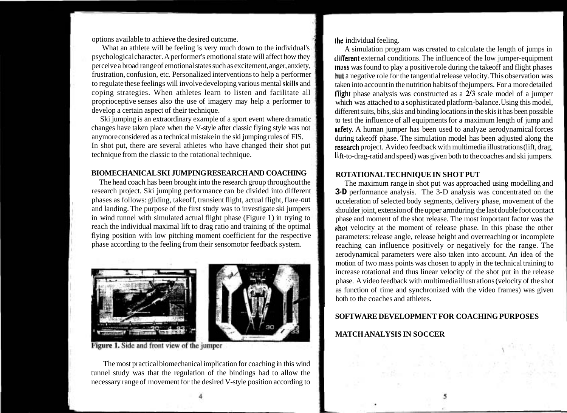options available to achieve the desired outcome.

What an athlete will be feeling is very much down to the individual's psychological character. A performer's emotional state will affect how they perceive a broad range of emotional states such as excitement, anger, anxiety, frustration, confusion, etc. Personalized interventions to help a performer to regulate these feelings will involve developing various mental skills and coping strategies. When athletes learn to listen and facilitate all proprioceptive senses also the use of imagery may help a performer to develop a certain aspect of their technique.

Ski jumping is an extraordinary example of a sport event where dramatic changes have taken place when the V-style after classic flying style was not anymore considered as a technical mistake in the ski jumping rules of FIS. In shot put, there are several athletes who have changed their shot put technique from the classic to the rotational technique.

# **BIOMECHANICAL SKI JUMPING RESEARCH AND COACHING**

The head coach has been brought into the research group throughout the research project. Ski jumping performance can be divided into different phases as follows: gliding, takeoff, transient flight, actual flight, flare-out and landing. The purpose of the first study was to investigate ski jumpers in wind tunnel with simulated actual flight phase (Figure 1) in trying to reach the individual maximal lift to drag ratio and training of the optimal flying position with low pitching moment coefficient for the respective phase according to the feeling from their sensomotor feedback system.



Figure 1. Side and front view of the jumper

The most practical biomechanical implication for coaching in this wind tunnel study was that the regulation of the bindings had to allow the necessary range of movement for the desired V-style position according to

llio individual feeling.

A simulation program was created to calculate the length of jumps in tlll'l'erent external conditions. The influence of the low jumper-equipment muss was found to play a positive role during the takeoff and flight phases hut a negative role for the tangential release velocity. This observation was taken into account in the nutrition habits of thejumpers. For a more detailed llight phase analysis was constructed as a  $2/3$  scale model of a jumper which was attached to a sophisticated platform-balance. Using this model, different suits, bibs, skis and binding locations in the skis it has been possible to test the influence of all equipments for a maximum length of jump and nufety. A human jumper has been used to analyze aerodynamical forces during takeoff phase. The simulation model has been adjusted along the research project. Avideo feedback with multimedia illustrations (lift, drag, **I1** ft-to-drag-ratid and speed) was given both to the coaches and ski jumpers.

# **ROTATIONAL TECHNIQUE IN SHOT PUT**

The maximum range in shot put was approached using modelling and **3-D** performance analysis. The 3-D analysis was concentrated on the ucceleration of selected body segments, delivery phase, movement of the shoulder joint, extension of the upper armduring the last double foot contact phase and moment of the shot release. The most important factor was the shot velocity at the moment of release phase. In this phase the other parameters: release angle, release height and overreaching or incomplete reaching can influence positively or negatively for the range. The aerodynamical parameters were also taken into account. An idea of the motion of two mass points was chosen to apply in the technical training to increase rotational and thus linear velocity of the shot put in the release phase. A video feedback with multimedia illustrations (velocity of the shot as function of time and synchronized with the video frames) was given both to the coaches and athletes.

# **SOFTWARE DEVELOPMENT FOR COACHING PURPOSES**

# **MATCH ANALYSIS IN SOCCER**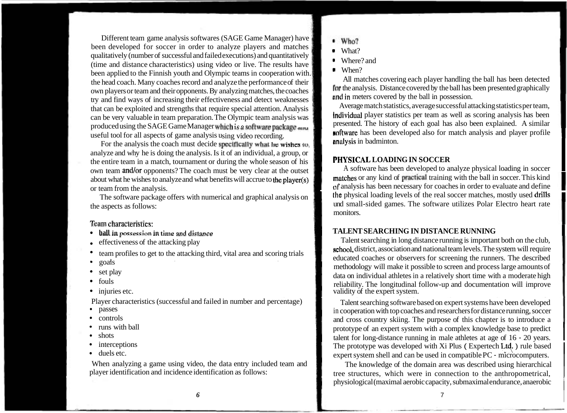Different team game analysis softwares (SAGE Game Manager) have been developed for soccer in order to analyze players and matches qualitatively (number of successful and failed executions) and quantitatively (time and distance characteristics) using video or live. The results have been applied to the Finnish youth and Olympic teams in cooperation with. the head coach. Many coaches record and analyze the performance of their own players or team and their opponents. By analyzing matches, the coaches try and find ways of increasing their effectiveness and detect weaknesses and the ways of merchang their encent energy and detect weaknesses<br>
that can be exploited and strengths that require special attention. Analysis<br>
can be very valuable in team preparation. The Olympic team analysis was<br>
res produced using the SAGE Game Manager which is a software package and useful tool for all aspects of game analysis using video recording.

For the analysis the coach must decide specifically what he wis<del>hes to, **the analysis**</del> in badminton. Example tool for all aspects of game analysis using video recording.<br>
For the analysis the coach must decide **specifically what he wishes to,**<br>
analyze and why he is doing the analysis. Is it of an individual, a group, or<br> analyze and why he is doing the analysis. Is it of an individual, a group, or the entire team in a match, tournament or during the whole season of his own team and/or opponents? The coach must be very clear at the outset about what he wishes to analyze and what benefits will accrue to the player(s) matches or any kind of practical training with the ball in soccer. This kind or team from the analysis.<br>The analysis has been necessary for coaches in order to evaluate and define

The software package offers with numerical and graphical analysis on the aspects as follows:<br>the aspects as follows:

# $T$ eam characteristics:

- $\bullet$
- 
- 
- $\bullet$
- 
- 
- $\bullet$

- 
- 
- 
- 
- 
- 

When analyzing a game using video, the data entry included team and<br>player identification and incidence identification as follows:<br>tree structures, which were in connection to the anthronometrical

- $\bullet$  Who?
- **<sup>0</sup>**What?
- **<sup>0</sup>**Where? and
- **<sup>0</sup>**When?

All matches covering each player handling the ball has been detected for the analysis. Distance covered by the ball has been presented graphically **i** Where? and<br> **i** When?<br> **iii** Mhen?<br> **all matches covering each player handling the ball has been detected<br>
<b>for** the analysis. Distance covered by the ball has been presented graphically<br> **iii** in meters covered by the

noftware has been developed also for match analysis and player profile analysis in badminton.

# **PIIYSICAL LOADING IN SOCCER**

monitors. the physical loading levels of the real soccer matches, mostly used drills

• **hall in possession in time and distance in the acceleration of the attacking play in the acceleration of the attacking play in** *SEARCHING IN DISTANCE RUNNING* **in** *contrast of the attacking play* **in** *in the arc* Talent searching in long distance running is important both on the club, school, district, association and national team levels. The system will require team profiles to get to the attacking third, vital area and scoring trials<br>goals<br>set play<br>set play set play<br>fouls data on individual athletes in a relatively short time with a moderate high<br>injuries etc.<br>injuries etc.

Player characteristics (successful and failed in number and percentage) Talent searching software based on expert systems have been developed<br>Passes passes<br>
in cooperation with top coaches and researchers for distance running, soccer<br>
and cross country skiing. The nurnose of this chapter is to introduce a controls and cross country skiing. The purpose of this chapter is to introduce a<br>runs with ball prototype of an expert system with a complex knowledge base to product runs with ball prototype of an expert system with a complex knowledge base to predict<br>shots talent for long-distance running in male athletes at age of 16 - 20 years.<br>The prototype was developed with Xi Plus (Expertech Ltd • interceptions The prototype was developed with Xi Plus (Expertech Ltd.) rule based due to the due of  $\sim$  duels etc. expert system shell and can be used in compatible PC - microcomputers.

> tree structures, which were in connection to the anthropometrical, physiological (maximal aerobic capacity, submaximal endurance, anaerobic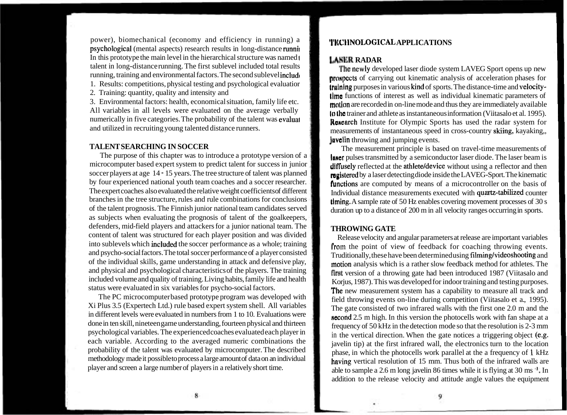power), biomechanical (economy and efficiency in running) a psychotogical (mental aspects) research results in long-distance runnil In this prototype the main level in the hierarchical structure was named **<sup>t</sup>** talent in long-distance running. The first sublevel included total results running, training and environmental factors. The second sublevel includc

1. Results: competitions, physical testing and psychological evaluatior

2. Training: quantity, quality and intensity and

3. Environmental factors: health, economical situation, family life etc. All variables in all levels were evaluated on the average verbally numerically in five categories. The probability of the talent was evaluai and utilized in recruiting young talented distance runners.

## **TALENT SEARCHING IN SOCCER**

The purpose of this chapter was to introduce a prototype version of a microcomputer based expert system to predict talent for success in junior soccer players at age 14 - 15 years. The tree structure of talent was planned by four experienced national youth team coaches and a soccer researcher. The expert coaches also evaluated the relative weight coefficients of different branches in the tree structure, rules and rule combinations for conclusions of the talent prognosis. The Finnish junior national team candidates served as subjects when evaluating the prognosis of talent of the goalkeepers, defenders, mid-field players and attackers for a junior national team. The content of talent was structured for each player position and was divided into sublevels which included the soccer performance as a whole; training and psycho-social factors. The total soccer performance of a player consisted of the individual skills, game understanding in attack and defensive play, and physical and psychological characteristics of the players. The training included volume and quality of training. Living habits, family life and health status were evaluated in six variables for psycho-social factors.

The PC microcomputer based prototype program was developed with Xi Plus 3.5 (Expertech Ltd.) rule based expert system shell. All variables in different levels were evaluated in numbers from 1 to 10. Evaluations were done in ten skill, nineteen game understanding, fourteen physical and thirteen psychological variables. The experienced coaches evaluated each player in each variable. According to the averaged numeric combinations the probability of the talent was evaluated by microcomputer. The described methodology made it possible to process a large amount of data on an individual player and screen a large number of players in a relatively short time.

# **Y'IECI-INOLOGICAL APPLICATIONS**

## **LASER RADAR**

The newly developed laser diode system LAVEG Sport opens up new **propects** of carrying out kinematic analysis of acceleration phases for lrulning purposes in various kind of sports. The distance-time and velocity- $\mathbf{I}$ lme functions of interest as well as individual kinematic parameters of motion are recorded in on-line mode and thus they are immediately available **It the** trainer and athlete as instantaneous information (Viitasalo et al. 1995). Roncarch Institute for Olympic Sports has used the radar system for measurements of instantaneous speed in cross-country skiing, kayaking,, **Javelin** throwing and jumping events.

The measurement principle is based on travel-time measurements of laner pulses transmitted by a semiconductor laser diode. The laser beam is diffusely reflected at the athlete/device without using a reflector and then registered by a laser detecting diode inside the LAVEG-Sport. The kinematic functions are computed by means of a microcontroller on the basis of Individual distance measurements executed with quartz-tabilized counter timing. A sample rate of 50 Hz enables covering movement processes of 30 s duration up to a distance of 200 m in all velocity ranges occurring in sports.

### **THROWING GATE**

Release velocity and angular parameters at release are important variables from the point of view of feedback for coaching throwing events. Truditionally, these have been determined using filming/videoshooting and motion analysis which is a rather slow feedback method for athletes. The **first** version of a throwing gate had been introduced 1987 (Viitasalo and Korjus, 1987). This was developed for indoor training and testing purposes. The new measurement system has a capability to measure all track and field throwing events on-line during competition (Viitasalo et a., 1995). The gate consisted of two infrared walls with the first one 2.0 m and the second 2.5 m high. In this version the photocells work with fan shape at a frequency of 50 kHz in the detection mode so that the resolution is 2-3 mm in the vertical direction. When the gate notices a triggering object (e.g. javelin tip) at the first infrared wall, the electronics turn to the location phase, in which the photocells work parallel at the a frequency of 1 kHz having vertical resolution of 15 mm. Thus both of the infrared walls are able to sample a 2.6 m long javelin 86 times while it is flying at 30 ms **-I.** In addition to the release velocity and attitude angle values the equipment

8

Q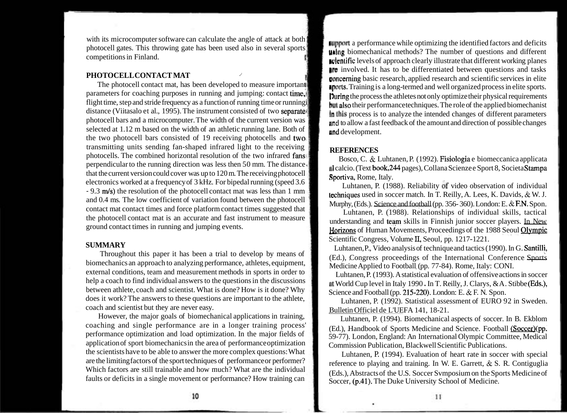with its microcomputer software can calculate the angle of attack at both photocell gates. This throwing gate has been used also in several sports competitions in Finland.

## **PHOTOCELL CONTACT MAT** /

The photocell contact mat, has been developed to measure important parameters for coaching purposes in running and jumping: contact time, flight time, step and stride frequency as a function of running time or runningi distance (Viitasalo et al., 1995). The instrument consisted of two separates photocell bars and a microcomputer. The width of the current version was selected at 1.12 m based on the width of an athletic running lane. Both of the two photocell bars consisted of 19 receiving photocells and two, transmitting units sending fan-shaped infrared light to the receiving photocells. The combined horizontal resolution of the two infrared fans) perpendicular to the running direction was less then  $50 \text{ mm}$ . The distance  $\frac{1}{2}$ that the current version could cover was up to 120 m. The receiving photocell electronics worked at a frequency of 3 kHz. For bipedal running (speed 3.6 - 9.3 m/s) the resolution of the photocell contact mat was less than 1 mm and 0.4 ms. The low coefficient of variation found between the photocell contact mat contact times and force platform contact times suggested that the photocell contact mat is an accurate and fast instrument to measure ground contact times in running and jumping events.

# **SUMMARY**

Throughout this paper it has been a trial to develop by means of biomechanics an approach to analyzing performance, athletes, equipment, external conditions, team and measurement methods in sports in order to help a coach to find individual answers to the questions in the discussions between athlete, coach and scientist. What is done? How is it done? Why does it work? The answers to these questions are important to the athlete, coach and scientist but they are never easy.

However, the major goals of biomechanical applications in training, coaching and single performance are in a longer training process' performance optimization and load optimization. In the major fields of application of sport biomechanics in the area of performance optimization the scientists have to be able to answer the more complex questions: What are the limiting factors of the sport techniques of performance or performer? Which factors are still trainable and how much? What are the individual faults or deficits in a single movement or performance? How training can

**fllpport** a performance while optimizing the identified factors and deficits uhlrrg biomechanical methods? The number of questions and different n~lcnlific levels of approach clearly illustrate that different working planes **In involved.** It has to be differentiated between questions and tasks uoncerning basic research, applied research and scientific services in elite **Aports.** Training is a long-termed and well organized process in elite sports. During the process the athletes not only optimize their physical requirements **hut** also their performance techniques. The role of the applied biomechanist In this process is to analyze the intended changes of different parameters nnd to allow a fast feedback of the amount and direction of possible changes and development.

# **REFERENCES**

Bosco, C. & Luhtanen, P. (1992). Fisiologia e biomeccanica applicata 11 calcio. (Text book, 244 pages), Collana Scienze e Sport 8, Societa Stampa Sportiva, Rome, Italy.

Luhtanen, P. (1988). Reliability of video observation of individual lechniques used in soccer match. In T. Reilly, A. Lees, K. Davids,  $\&$  W. J. Murphy, (Eds.). Science and football (pp. 356-360). London: E. & F.N. Spon.

Luhtanen, P. (1988). Relationships of individual skills, tactical understanding and team skills in Finnish junior soccer players. In New Horizons of Human Movements, Proceedings of the 1988 Seoul Olympic Scientific Congress, Volume II, Seoul, pp. 1217-1221.

Luhtanen, P., Video analysis of technique and tactics (1990). In G. Santilli, (Ed.), Congress proceedings of the International Conference Sports Medicine Applied to Football (pp. 77-84). Rome, Italy: CONI.

Luhtanen, P. (1993). A statistical evaluation of offensive actions in soccer at World Cup level in Italy 1990 . In T. Reilly, J. Clarys, &A. Stibbe (Eds.), Science and Football (pp. 215-220). London: E. & F. N. Spon.

Luhtanen, P. (1992). Statistical assessment of EURO 92 in Sweden. Bulletin Officiel de L'UEFA 141, 18-21.

Luhtanen, P. (1994). Biomechanical aspects of soccer. In B. Ekblom (Ed.), Handbook of Sports Medicine and Science. Football (Soccer) (pp. 59-77). London, England: An International Olympic Committee, Medical Commission Publication, Blackwell Scientific Publications.

Luhtanen, P. (1994). Evaluation of heart rate in soccer with special reference to playing and training. In W. E. Garrett, & S. R. Contiguglia (Eds.), Abstracts of the U.S. Soccer Svmposium on the Sports Medicine of Soccer, (p.41). The Duke University School of Medicine.